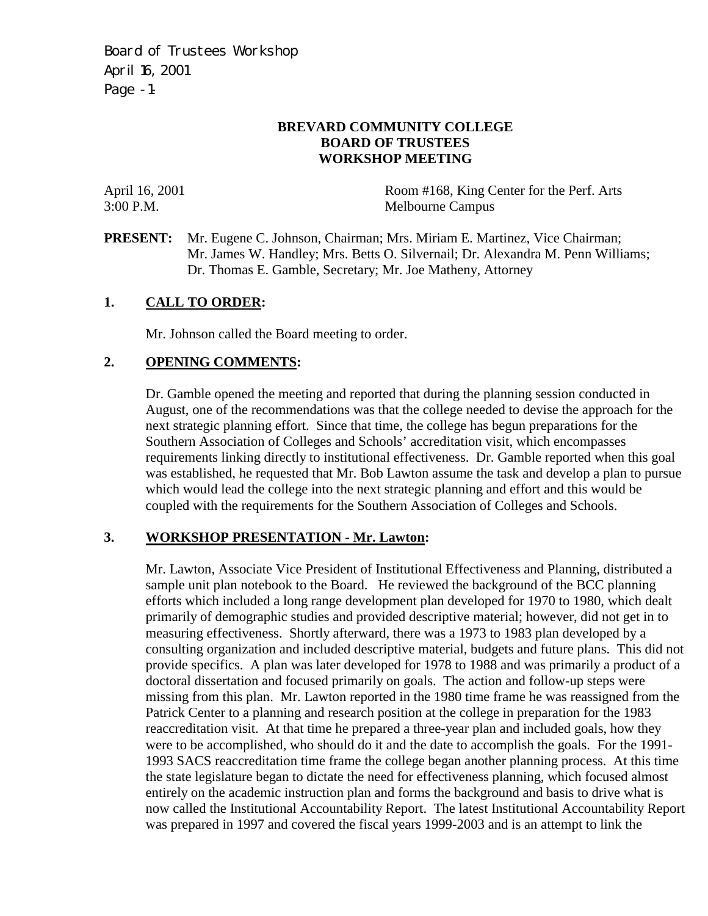Board of Trustees Workshop April 16, 2001 Page -1-

### **BREVARD COMMUNITY COLLEGE BOARD OF TRUSTEES WORKSHOP MEETING**

April 16, 2001 Room #168, King Center for the Perf. Arts 3:00 P.M. Melbourne Campus

**PRESENT:** Mr. Eugene C. Johnson, Chairman; Mrs. Miriam E. Martinez, Vice Chairman; Mr. James W. Handley; Mrs. Betts O. Silvernail; Dr. Alexandra M. Penn Williams; Dr. Thomas E. Gamble, Secretary; Mr. Joe Matheny, Attorney

### **1. CALL TO ORDER:**

Mr. Johnson called the Board meeting to order.

### **2. OPENING COMMENTS:**

Dr. Gamble opened the meeting and reported that during the planning session conducted in August, one of the recommendations was that the college needed to devise the approach for the next strategic planning effort. Since that time, the college has begun preparations for the Southern Association of Colleges and Schools' accreditation visit, which encompasses requirements linking directly to institutional effectiveness. Dr. Gamble reported when this goal was established, he requested that Mr. Bob Lawton assume the task and develop a plan to pursue which would lead the college into the next strategic planning and effort and this would be coupled with the requirements for the Southern Association of Colleges and Schools.

## **3. WORKSHOP PRESENTATION - Mr. Lawton:**

Mr. Lawton, Associate Vice President of Institutional Effectiveness and Planning, distributed a sample unit plan notebook to the Board. He reviewed the background of the BCC planning efforts which included a long range development plan developed for 1970 to 1980, which dealt primarily of demographic studies and provided descriptive material; however, did not get in to measuring effectiveness. Shortly afterward, there was a 1973 to 1983 plan developed by a consulting organization and included descriptive material, budgets and future plans. This did not provide specifics. A plan was later developed for 1978 to 1988 and was primarily a product of a doctoral dissertation and focused primarily on goals. The action and follow-up steps were missing from this plan. Mr. Lawton reported in the 1980 time frame he was reassigned from the Patrick Center to a planning and research position at the college in preparation for the 1983 reaccreditation visit. At that time he prepared a three-year plan and included goals, how they were to be accomplished, who should do it and the date to accomplish the goals. For the 1991- 1993 SACS reaccreditation time frame the college began another planning process. At this time the state legislature began to dictate the need for effectiveness planning, which focused almost entirely on the academic instruction plan and forms the background and basis to drive what is now called the Institutional Accountability Report. The latest Institutional Accountability Report was prepared in 1997 and covered the fiscal years 1999-2003 and is an attempt to link the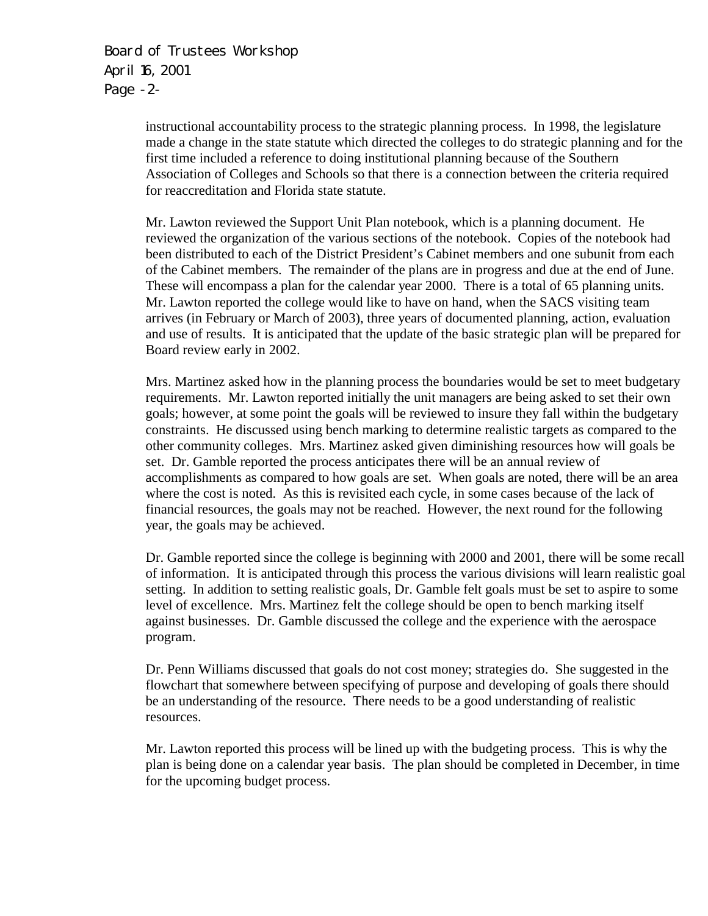Board of Trustees Workshop April 16, 2001 Page -2-

> instructional accountability process to the strategic planning process. In 1998, the legislature made a change in the state statute which directed the colleges to do strategic planning and for the first time included a reference to doing institutional planning because of the Southern Association of Colleges and Schools so that there is a connection between the criteria required for reaccreditation and Florida state statute.

> Mr. Lawton reviewed the Support Unit Plan notebook, which is a planning document. He reviewed the organization of the various sections of the notebook. Copies of the notebook had been distributed to each of the District President's Cabinet members and one subunit from each of the Cabinet members. The remainder of the plans are in progress and due at the end of June. These will encompass a plan for the calendar year 2000. There is a total of 65 planning units. Mr. Lawton reported the college would like to have on hand, when the SACS visiting team arrives (in February or March of 2003), three years of documented planning, action, evaluation and use of results. It is anticipated that the update of the basic strategic plan will be prepared for Board review early in 2002.

> Mrs. Martinez asked how in the planning process the boundaries would be set to meet budgetary requirements. Mr. Lawton reported initially the unit managers are being asked to set their own goals; however, at some point the goals will be reviewed to insure they fall within the budgetary constraints. He discussed using bench marking to determine realistic targets as compared to the other community colleges. Mrs. Martinez asked given diminishing resources how will goals be set. Dr. Gamble reported the process anticipates there will be an annual review of accomplishments as compared to how goals are set. When goals are noted, there will be an area where the cost is noted. As this is revisited each cycle, in some cases because of the lack of financial resources, the goals may not be reached. However, the next round for the following year, the goals may be achieved.

Dr. Gamble reported since the college is beginning with 2000 and 2001, there will be some recall of information. It is anticipated through this process the various divisions will learn realistic goal setting. In addition to setting realistic goals, Dr. Gamble felt goals must be set to aspire to some level of excellence. Mrs. Martinez felt the college should be open to bench marking itself against businesses. Dr. Gamble discussed the college and the experience with the aerospace program.

Dr. Penn Williams discussed that goals do not cost money; strategies do. She suggested in the flowchart that somewhere between specifying of purpose and developing of goals there should be an understanding of the resource. There needs to be a good understanding of realistic resources.

Mr. Lawton reported this process will be lined up with the budgeting process. This is why the plan is being done on a calendar year basis. The plan should be completed in December, in time for the upcoming budget process.